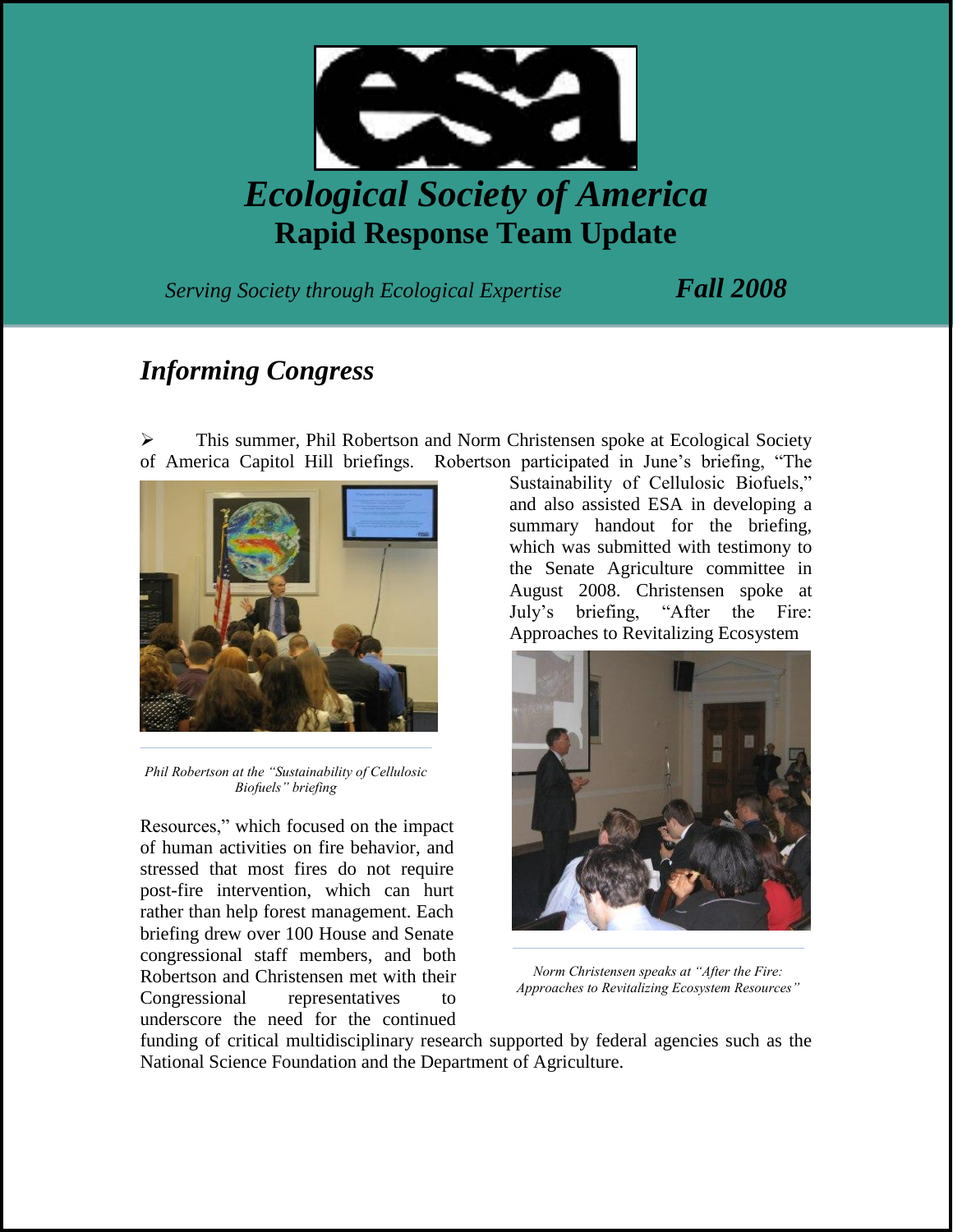

**Rapid Response Team Update**

*Serving Society through Ecological Expertise Fall 2008*

## *Informing Congress*

 This summer, Phil Robertson and Norm Christensen spoke at Ecological Society of America Capitol Hill briefings. Robertson participated in June's briefing, "The



*Phil Robertson at the "Sustainability of Cellulosic Biofuels" briefing*

Resources," which focused on the impact of human activities on fire behavior, and stressed that most fires do not require post-fire intervention, which can hurt rather than help forest management. Each briefing drew over 100 House and Senate congressional staff members, and both Robertson and Christensen met with their Congressional representatives to underscore the need for the continued

Sustainability of Cellulosic Biofuels," and also assisted ESA in developing a summary handout for the briefing, which was submitted with testimony to the Senate Agriculture committee in August 2008. Christensen spoke at July's briefing, "After the Fire: Approaches to Revitalizing Ecosystem



*Norm Christensen speaks at "After the Fire: Approaches to Revitalizing Ecosystem Resources"*

funding of critical multidisciplinary research supported by federal agencies such as the National Science Foundation and the Department of Agriculture.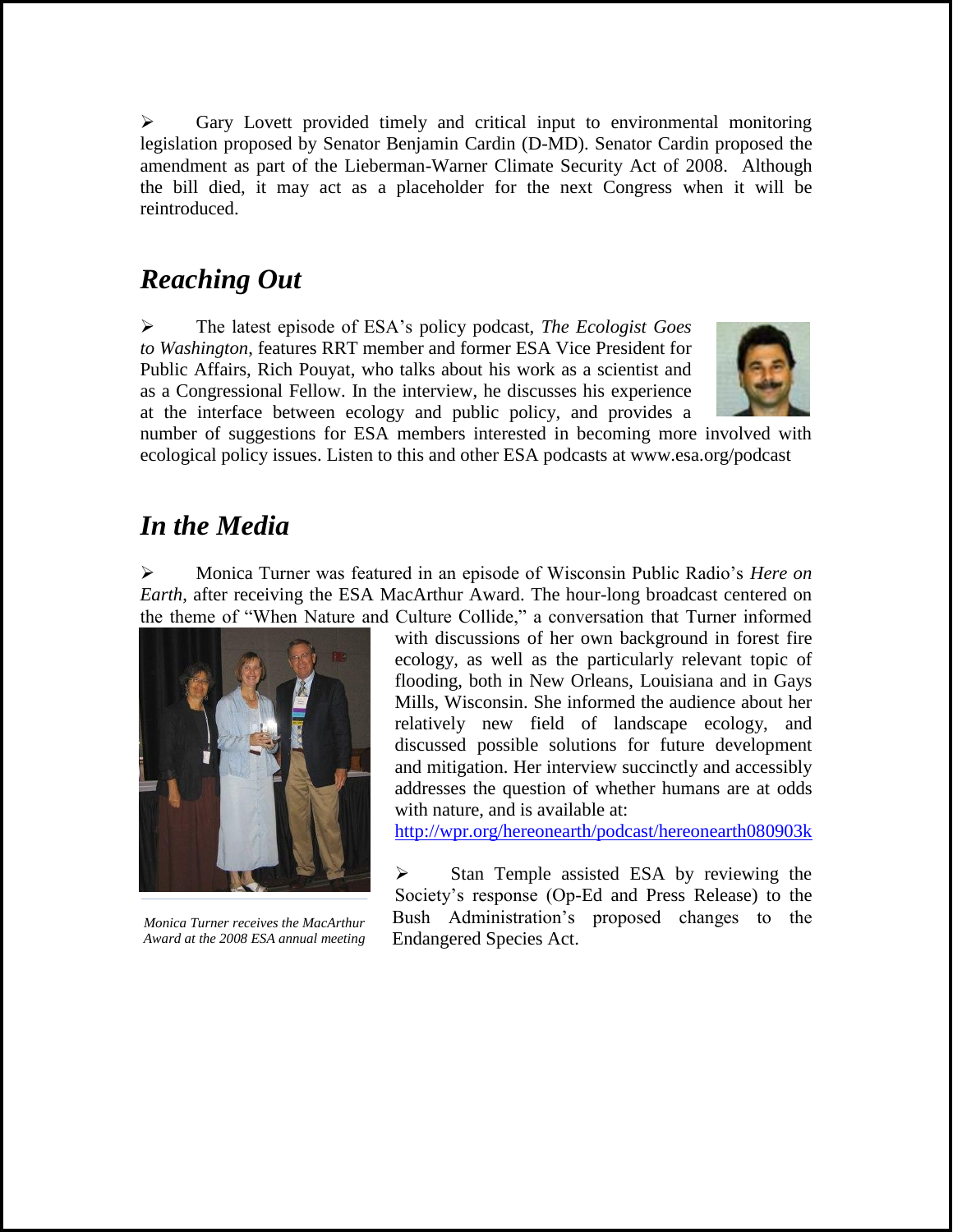$\triangleright$  Gary Lovett provided timely and critical input to environmental monitoring legislation proposed by Senator Benjamin Cardin (D-MD). Senator Cardin proposed the amendment as part of the Lieberman-Warner Climate Security Act of 2008. Although the bill died, it may act as a placeholder for the next Congress when it will be reintroduced.

## *Reaching Out*

 The latest episode of ESA's policy podcast, *The Ecologist Goes to Washington*, features RRT member and former ESA Vice President for Public Affairs, Rich Pouyat, who talks about his work as a scientist and as a Congressional Fellow. In the interview, he discusses his experience at the interface between ecology and public policy, and provides a



number of suggestions for ESA members interested in becoming more involved with ecological policy issues. Listen to this and other ESA podcasts at www.esa.org/podcast

## *In the Media*

 Monica Turner was featured in an episode of Wisconsin Public Radio's *Here on Earth*, after receiving the ESA MacArthur Award. The hour-long broadcast centered on the theme of "When Nature and Culture Collide," a conversation that Turner informed



*Monica Turner receives the MacArthur Award at the 2008 ESA annual meeting*

with discussions of her own background in forest fire ecology, as well as the particularly relevant topic of flooding, both in New Orleans, Louisiana and in Gays Mills, Wisconsin. She informed the audience about her relatively new field of landscape ecology, and discussed possible solutions for future development and mitigation. Her interview succinctly and accessibly addresses the question of whether humans are at odds with nature, and is available at:

<http://wpr.org/hereonearth/podcast/hereonearth080903k>

 $\triangleright$  Stan Temple assisted ESA by reviewing the Society's response (Op-Ed and Press Release) to the Bush Administration's proposed changes to the Endangered Species Act.